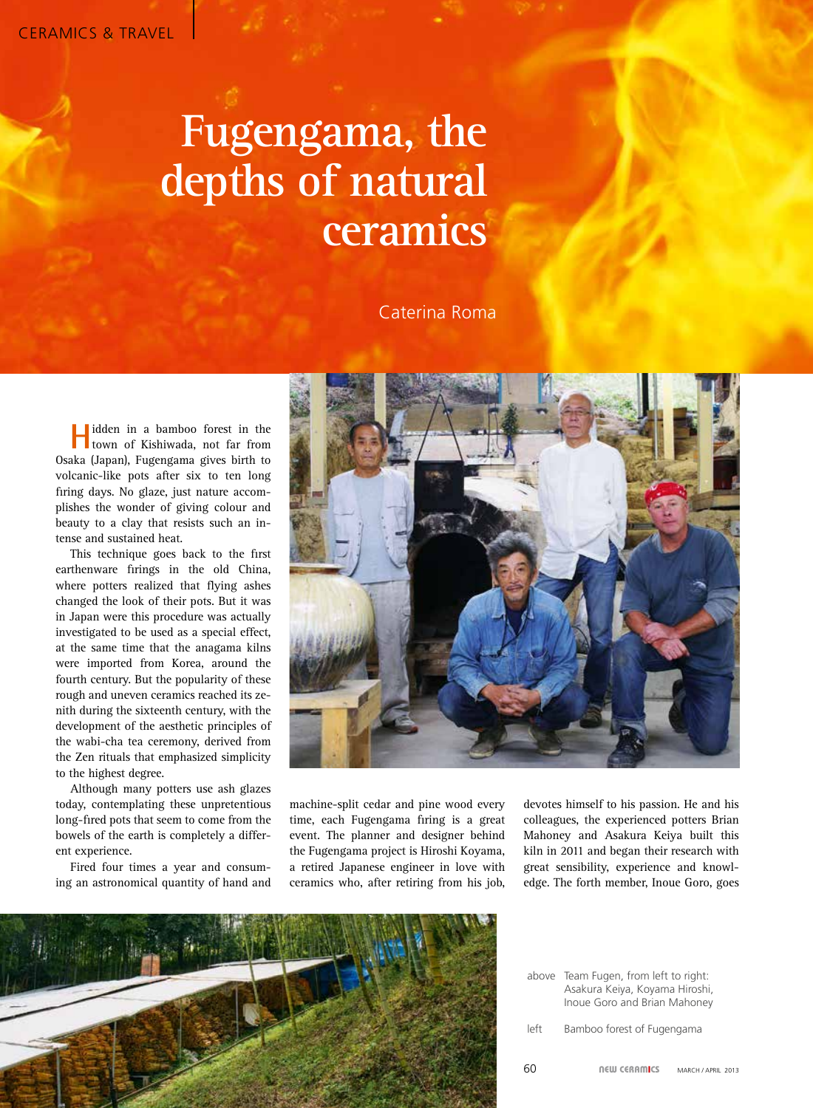## **Fugengama, the depths of natural ceramics**

Caterina Roma

**H**idden in a bamboo forest in the town of Kishiwada, not far from Osaka (Japan), Fugengama gives birth to volcanic-like pots after six to ten long firing days. No glaze, just nature accomplishes the wonder of giving colour and beauty to a clay that resists such an intense and sustained heat.

This technique goes back to the first earthenware firings in the old China, where potters realized that flying ashes changed the look of their pots. But it was in Japan were this procedure was actually investigated to be used as a special effect, at the same time that the anagama kilns were imported from Korea, around the fourth century. But the popularity of these rough and uneven ceramics reached its zenith during the sixteenth century, with the development of the aesthetic principles of the wabi-cha tea ceremony, derived from the Zen rituals that emphasized simplicity to the highest degree.

Although many potters use ash glazes today, contemplating these unpretentious long-fired pots that seem to come from the bowels of the earth is completely a different experience.

Fired four times a year and consuming an astronomical quantity of hand and



machine-split cedar and pine wood every time, each Fugengama firing is a great event. The planner and designer behind the Fugengama project is Hiroshi Koyama, a retired Japanese engineer in love with ceramics who, after retiring from his job,

devotes himself to his passion. He and his colleagues, the experienced potters Brian Mahoney and Asakura Keiya built this kiln in 2011 and began their research with great sensibility, experience and knowledge. The forth member, Inoue Goro, goes



|      | above Team Fugen, from left to right:<br>Asakura Keiya, Koyama Hiroshi,<br>Inoue Goro and Brian Mahoney |
|------|---------------------------------------------------------------------------------------------------------|
| left | Bamboo forest of Fugengama                                                                              |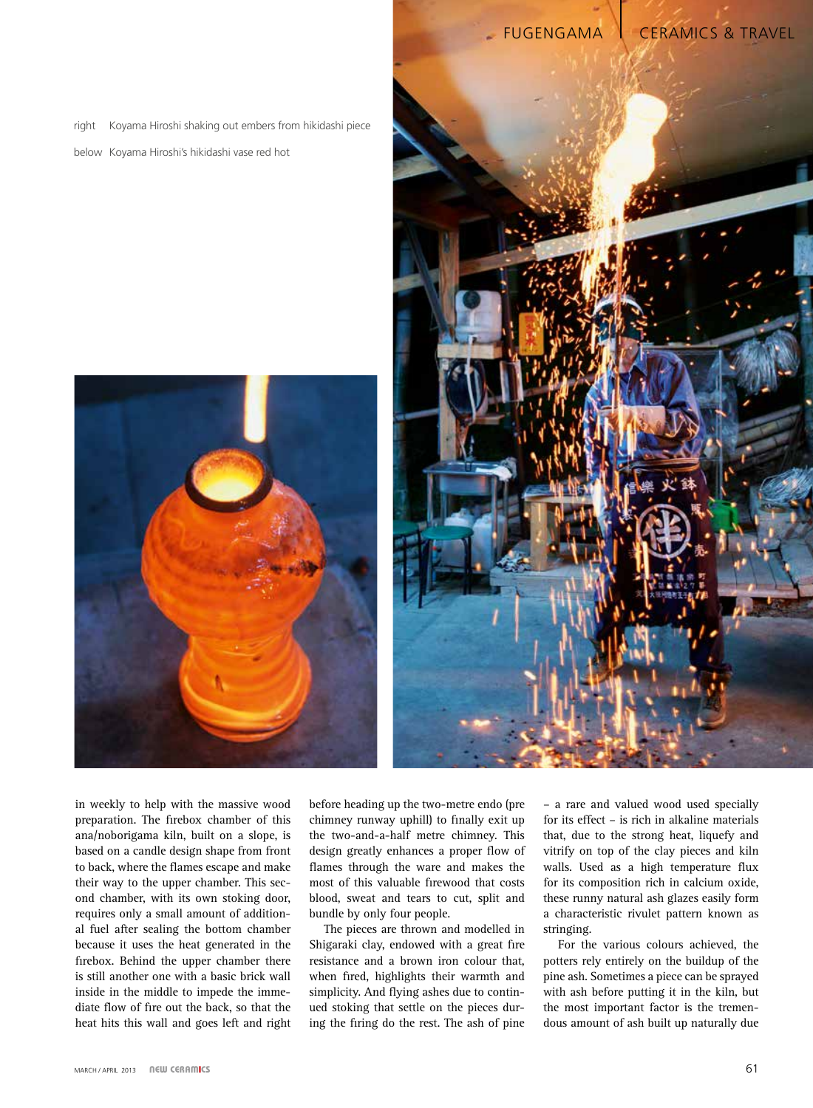right Koyama Hiroshi shaking out embers from hikidashi piece

below Koyama Hiroshi's hikidashi vase red hot





FUGENGAMA | CERAMICS & TRAVEL

in weekly to help with the massive wood preparation. The firebox chamber of this ana/noborigama kiln, built on a slope, is based on a candle design shape from front to back, where the flames escape and make their way to the upper chamber. This second chamber, with its own stoking door, requires only a small amount of additional fuel after sealing the bottom chamber because it uses the heat generated in the firebox. Behind the upper chamber there is still another one with a basic brick wall inside in the middle to impede the immediate flow of fire out the back, so that the heat hits this wall and goes left and right

before heading up the two-metre endo (pre chimney runway uphill) to finally exit up the two-and-a-half metre chimney. This design greatly enhances a proper flow of flames through the ware and makes the most of this valuable firewood that costs blood, sweat and tears to cut, split and bundle by only four people.

The pieces are thrown and modelled in Shigaraki clay, endowed with a great fire resistance and a brown iron colour that, when fired, highlights their warmth and simplicity. And flying ashes due to continued stoking that settle on the pieces during the firing do the rest. The ash of pine

– a rare and valued wood used specially for its effect – is rich in alkaline materials that, due to the strong heat, liquefy and vitrify on top of the clay pieces and kiln walls. Used as a high temperature flux for its composition rich in calcium oxide, these runny natural ash glazes easily form a characteristic rivulet pattern known as stringing.

For the various colours achieved, the potters rely entirely on the buildup of the pine ash. Sometimes a piece can be sprayed with ash before putting it in the kiln, but the most important factor is the tremendous amount of ash built up naturally due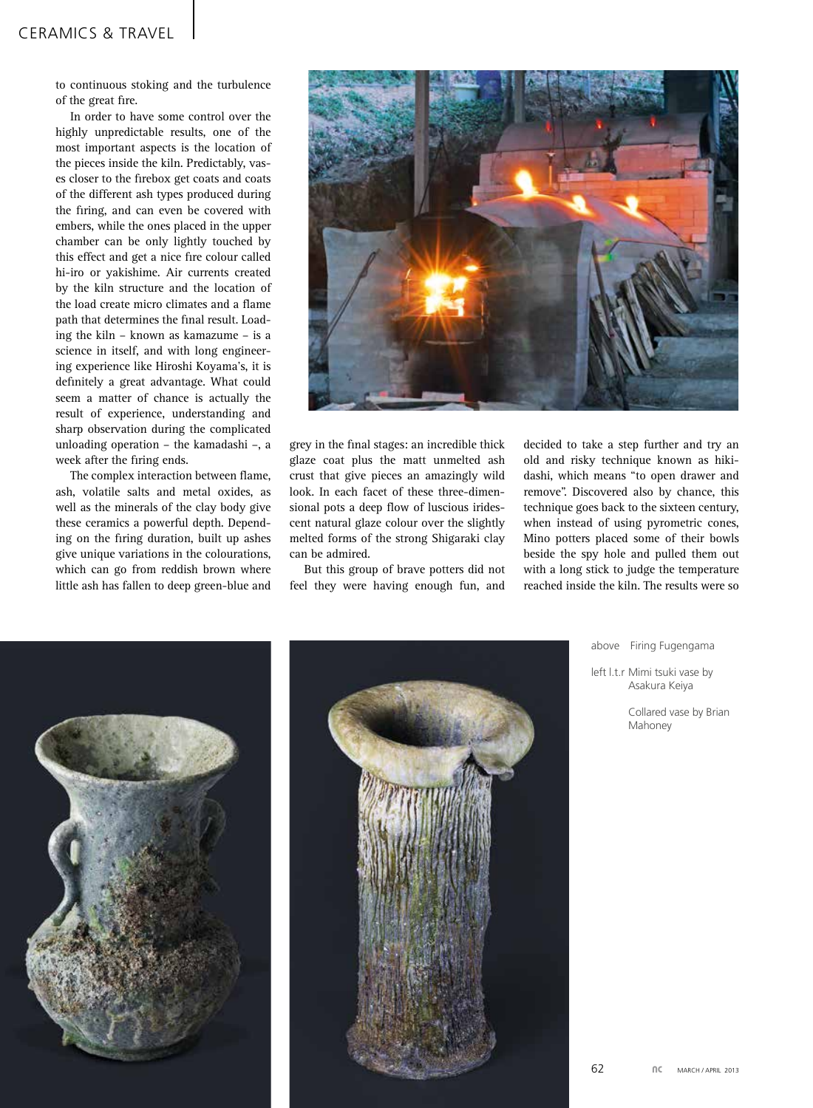to continuous stoking and the turbulence of the great fire.

In order to have some control over the highly unpredictable results, one of the most important aspects is the location of the pieces inside the kiln. Predictably, vases closer to the firebox get coats and coats of the different ash types produced during the firing, and can even be covered with embers, while the ones placed in the upper chamber can be only lightly touched by this effect and get a nice fire colour called hi-iro or yakishime. Air currents created by the kiln structure and the location of the load create micro climates and a flame path that determines the final result. Loading the kiln – known as kamazume – is a science in itself, and with long engineering experience like Hiroshi Koyama's, it is definitely a great advantage. What could seem a matter of chance is actually the result of experience, understanding and sharp observation during the complicated unloading operation – the kamadashi –, a week after the firing ends.

The complex interaction between flame, ash, volatile salts and metal oxides, as well as the minerals of the clay body give these ceramics a powerful depth. Depending on the firing duration, built up ashes give unique variations in the colourations, which can go from reddish brown where little ash has fallen to deep green-blue and



grey in the final stages: an incredible thick glaze coat plus the matt unmelted ash crust that give pieces an amazingly wild look. In each facet of these three-dimensional pots a deep flow of luscious iridescent natural glaze colour over the slightly melted forms of the strong Shigaraki clay can be admired.

But this group of brave potters did not feel they were having enough fun, and

decided to take a step further and try an old and risky technique known as hikidashi, which means "to open drawer and remove". Discovered also by chance, this technique goes back to the sixteen century, when instead of using pyrometric cones, Mino potters placed some of their bowls beside the spy hole and pulled them out with a long stick to judge the temperature reached inside the kiln. The results were so





above Firing Fugengama

left l.t.r Mimi tsuki vase by Asakura Keiya

> Collared vase by Brian Mahoney

62 **NC** MARCH / APRIL 2013